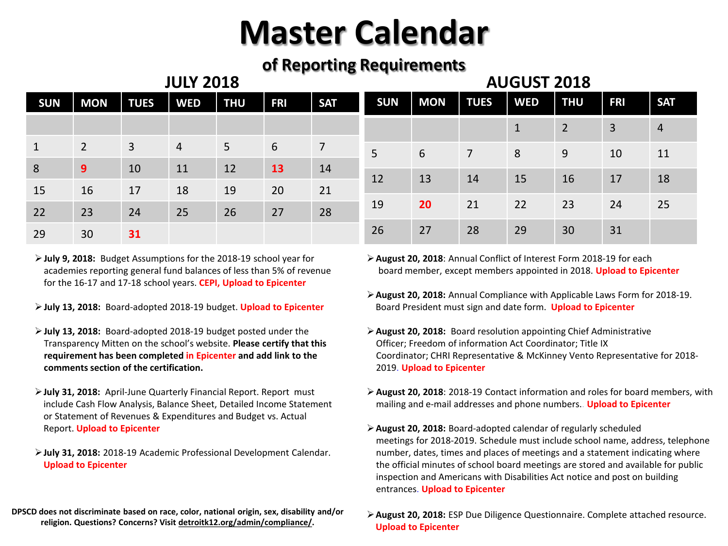### **of Reporting Requirements**

| <b>JULY 2018</b> |                |             |            |                 |            |                |            | <b>AUGUST 2018</b> |             |            |                |            |                |  |
|------------------|----------------|-------------|------------|-----------------|------------|----------------|------------|--------------------|-------------|------------|----------------|------------|----------------|--|
| <b>SUN</b>       | <b>MON</b>     | <b>TUES</b> | <b>WED</b> | <b>THU</b>      | <b>FRI</b> | <b>SAT</b>     | <b>SUN</b> | <b>MON</b>         | <b>TUES</b> | <b>WED</b> | <b>THU</b>     | <b>FRI</b> | <b>SAT</b>     |  |
|                  |                |             |            |                 |            |                |            |                    |             | 1          | $\overline{2}$ | 3          | $\overline{4}$ |  |
| $\mathbf{1}$     | $\overline{2}$ | 3           | 4          | $5\overline{)}$ | 6          | $\overline{7}$ | 5          | 6                  | 7           | 8          | 9              | 10         | 11             |  |
| 8                | 9              | 10          | 11         | 12              | 13         | 14             |            |                    |             |            |                |            |                |  |
| 15               | 16             | 17          | 18         | 19              | 20         | 21             | 12         | 13                 | 14          | 15         | 16             | 17         | 18             |  |
| 22               | 23             | 24          | 25         | 26              | 27         | 28             | 19         | 20                 | 21          | 22         | 23             | 24         | 25             |  |
| 29               | 30             | 31          |            |                 |            |                | 26         | 27                 | 28          | 29         | 30             | 31         |                |  |

- **July 9, 2018:** Budget Assumptions for the 2018-19 school year for academies reporting general fund balances of less than 5% of revenue for the 16-17 and 17-18 school years. **CEPI, Upload to Epicenter**
- **July 13, 2018:** Board-adopted 2018-19 budget. **Upload to Epicenter**
- **July 13, 2018:** Board-adopted 2018-19 budget posted under the Transparency Mitten on the school's website. **Please certify that this requirement has been completed in Epicenter and add link to the comments section of the certification.**
- **July 31, 2018:** April-June Quarterly Financial Report. Report must include Cash Flow Analysis, Balance Sheet, Detailed Income Statement or Statement of Revenues & Expenditures and Budget vs. Actual Report. **Upload to Epicenter**
- **July 31, 2018:** 2018-19 Academic Professional Development Calendar. **Upload to Epicenter**
- **DPSCD does not discriminate based on race, color, national origin, sex, disability and/or religion. Questions? Concerns? Visit detroitk12.org/admin/compliance/.**
- **August 20, 2018**: Annual Conflict of Interest Form 2018-19 for each board member, except members appointed in 2018. **Upload to Epicenter**
- **August 20, 2018:** Annual Compliance with Applicable Laws Form for 2018-19. Board President must sign and date form. **Upload to Epicenter**
- **August 20, 2018:** Board resolution appointing Chief Administrative Officer; Freedom of information Act Coordinator; Title IX Coordinator; CHRI Representative & McKinney Vento Representative for 2018- 2019. **Upload to Epicenter**
- **August 20, 2018**: 2018-19 Contact information and roles for board members, with mailing and e-mail addresses and phone numbers.. **Upload to Epicenter**
- **August 20, 2018:** Board-adopted calendar of regularly scheduled meetings for 2018-2019. Schedule must include school name, address, telephone number, dates, times and places of meetings and a statement indicating where the official minutes of school board meetings are stored and available for public inspection and Americans with Disabilities Act notice and post on building entrances. **Upload to Epicenter**
- **August 20, 2018:** ESP Due Diligence Questionnaire. Complete attached resource. **Upload to Epicenter**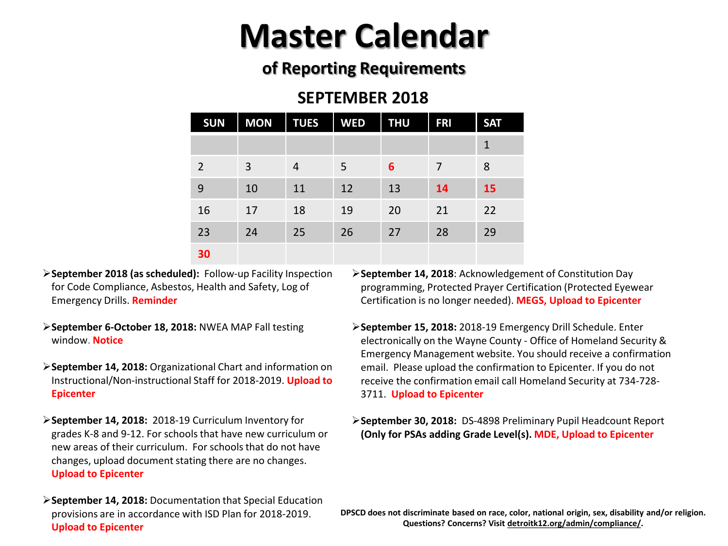## **of Reporting Requirements**

### **SEPTEMBER 2018**

| <b>SUN</b>     | <b>MON</b> | <b>TUES</b> | <b>WED</b> | <b>THU</b> | <b>FRI</b> | <b>SAT</b>   |
|----------------|------------|-------------|------------|------------|------------|--------------|
|                |            |             |            |            |            | $\mathbf{1}$ |
| $\overline{2}$ | 3          | 4           | 5          | 6          | 7          | 8            |
| 9              | 10         | 11          | 12         | 13         | 14         | 15           |
| 16             | 17         | 18          | 19         | 20         | 21         | 22           |
| 23             | 24         | 25          | 26         | 27         | 28         | 29           |
| 30             |            |             |            |            |            |              |

- **September 2018 (as scheduled):** Follow-up Facility Inspection for Code Compliance, Asbestos, Health and Safety, Log of Emergency Drills. **Reminder**
- **September 6-October 18, 2018:** NWEA MAP Fall testing window. **Notice**
- **September 14, 2018:** Organizational Chart and information on Instructional/Non-instructional Staff for 2018-2019. **Upload to Epicenter**
- **September 14, 2018:** 2018-19 Curriculum Inventory for grades K-8 and 9-12. For schools that have new curriculum or new areas of their curriculum. For schools that do not have changes, upload document stating there are no changes. **Upload to Epicenter**
- **September 14, 2018:** Documentation that Special Education provisions are in accordance with ISD Plan for 2018-2019. **Upload to Epicenter**
- **September 14, 2018**: Acknowledgement of Constitution Day programming, Protected Prayer Certification (Protected Eyewear Certification is no longer needed). **MEGS, Upload to Epicenter**
- **September 15, 2018:** 2018-19 Emergency Drill Schedule. Enter electronically on the Wayne County - Office of Homeland Security & Emergency Management website. You should receive a confirmation email. Please upload the confirmation to Epicenter. If you do not receive the confirmation email call Homeland Security at 734-728- 3711. **Upload to Epicenter**
- **September 30, 2018:** DS-4898 Preliminary Pupil Headcount Report **(Only for PSAs adding Grade Level(s). MDE, Upload to Epicenter**

**DPSCD does not discriminate based on race, color, national origin, sex, disability and/or religion. Questions? Concerns? Visit detroitk12.org/admin/compliance/.**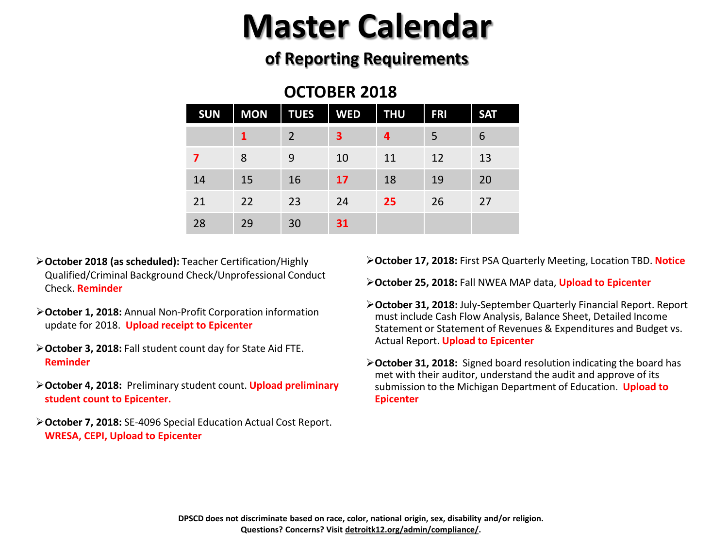## **of Reporting Requirements**

### **OCTOBER 2018**

| <b>SUN</b> | <b>MON</b> | <b>TUES</b> | <b>WED</b> | <b>THU</b> | <b>FRI</b> | <b>SAT</b> |
|------------|------------|-------------|------------|------------|------------|------------|
|            |            | 2           | 3          | 4          | 5          | 6          |
| 7          | 8          | 9           | 10         | 11         | 12         | 13         |
| 14         | 15         | 16          | 17         | 18         | 19         | 20         |
| 21         | 22         | 23          | 24         | 25         | 26         | 27         |
| 28         | 29         | 30          | 31         |            |            |            |

- **October 2018 (as scheduled):** Teacher Certification/Highly Qualified/Criminal Background Check/Unprofessional Conduct Check. **Reminder**
- **October 1, 2018:** Annual Non-Profit Corporation information update for 2018. **Upload receipt to Epicenter**
- **October 3, 2018:** Fall student count day for State Aid FTE. **Reminder**
- **October 4, 2018:** Preliminary student count. **Upload preliminary student count to Epicenter.**
- **October 7, 2018:** SE-4096 Special Education Actual Cost Report. **WRESA, CEPI, Upload to Epicenter**

**October 17, 2018:** First PSA Quarterly Meeting, Location TBD. **Notice**

**October 25, 2018:** Fall NWEA MAP data, **Upload to Epicenter**

- **October 31, 2018:** July-September Quarterly Financial Report. Report must include Cash Flow Analysis, Balance Sheet, Detailed Income Statement or Statement of Revenues & Expenditures and Budget vs. Actual Report. **Upload to Epicenter**
- **October 31, 2018:** Signed board resolution indicating the board has met with their auditor, understand the audit and approve of its submission to the Michigan Department of Education. **Upload to Epicenter**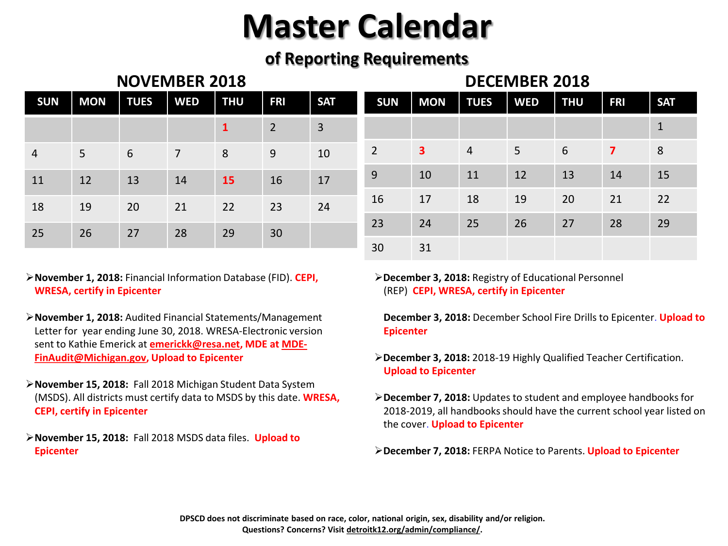## **of Reporting Requirements**

### **NOVEMBER 2018 DECEMBER 2018**

| <b>SUN</b>     | <b>MON</b> | <b>TUES</b> | <b>WED</b> | <b>THU</b> | <b>FRI</b>     | <b>SAT</b>     | <b>SUN</b>     | <b>MON</b>              | <b>TUES</b>    | <b>WED</b> | <b>THU</b> | <b>FRI</b>     | <b>SAT</b>  |
|----------------|------------|-------------|------------|------------|----------------|----------------|----------------|-------------------------|----------------|------------|------------|----------------|-------------|
|                |            |             |            |            | $\overline{2}$ | $\overline{3}$ |                |                         |                |            |            |                | $\mathbf 1$ |
| $\overline{4}$ | 5          | 6           | 7          | 8          | 9              | 10             | $\overline{2}$ | $\overline{\mathbf{3}}$ | $\overline{4}$ | 5          | 6          | $\overline{7}$ | 8           |
| 11             | 12         | 13          | 14         | <b>15</b>  | 16             | 17             | 9              | 10                      | 11             | 12         | 13         | 14             | 15          |
| 18             | 19         | 20          | 21         | 22         | 23             | 24             | 16             | 17                      | 18             | 19         | 20         | 21             | 22          |
| 25             | 26         | 27          | 28         | 29         | 30             |                | 23             | 24                      | 25             | 26         | 27         | 28             | 29          |
|                |            |             |            |            |                | 30             | 31             |                         |                |            |            |                |             |

### **November 1, 2018:** Financial Information Database (FID). **CEPI, WRESA, certify in Epicenter**

- **November 1, 2018:** Audited Financial Statements/Management Letter for year ending June 30, 2018. WRESA-Electronic version sent to Kathie Emerick at **emerickk@resa.net, MDE at MDE-FinAudit@Michigan.gov, Upload to Epicenter**
- **November 15, 2018:** Fall 2018 Michigan Student Data System (MSDS). All districts must certify data to MSDS by this date. **WRESA, CEPI, certify in Epicenter**
- **November 15, 2018:** Fall 2018 MSDS data files. **Upload to Epicenter**

**December 3, 2018:** Registry of Educational Personnel (REP) **CEPI, WRESA, certify in Epicenter**

**December 3, 2018:** December School Fire Drills to Epicenter. **Upload to Epicenter**

- **December 3, 2018:** 2018-19 Highly Qualified Teacher Certification. **Upload to Epicenter**
- **December 7, 2018:** Updates to student and employee handbooks for 2018-2019, all handbooks should have the current school year listed on the cover. **Upload to Epicenter**
- **December 7, 2018:** FERPA Notice to Parents. **Upload to Epicenter**

**DPSCD does not discriminate based on race, color, national origin, sex, disability and/or religion. Questions? Concerns? Visit detroitk12.org/admin/compliance/.**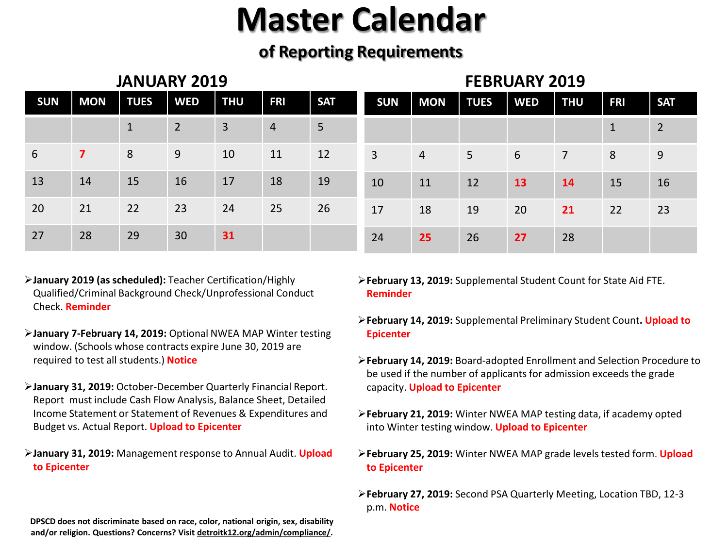## **of Reporting Requirements**

| <b>JANUARY 2019</b> |                         |              |                |                |                |                |                | <b>FEBRUARY 2019</b> |             |            |                |            |                |  |
|---------------------|-------------------------|--------------|----------------|----------------|----------------|----------------|----------------|----------------------|-------------|------------|----------------|------------|----------------|--|
| <b>SUN</b>          | <b>MON</b>              | <b>TUES</b>  | <b>WED</b>     | <b>THU</b>     | <b>FRI</b>     | <b>SAT</b>     | <b>SUN</b>     | <b>MON</b>           | <b>TUES</b> | <b>WED</b> | <b>THU</b>     | <b>FRI</b> | <b>SAT</b>     |  |
|                     |                         | $\mathbf{1}$ | $\overline{2}$ | $\overline{3}$ | $\overline{4}$ | $5\phantom{.}$ |                |                      |             |            |                | 1          | $\overline{2}$ |  |
| 6                   | $\overline{\mathbf{z}}$ | 8            | 9              | 10             | 11             | 12             | $\overline{3}$ | 4                    | 5           | 6          | $\overline{7}$ | 8          | 9              |  |
| 13                  | 14                      | 15           | 16             | 17             | 18             | 19             | 10             | 11                   | 12          | 13         | <b>14</b>      | 15         | 16             |  |
| 20                  | 21                      | 22           | 23             | 24             | 25             | 26             | 17             | 18                   | 19          | 20         | 21             | 22         | 23             |  |
| 27                  | 28                      | 29           | 30             | 31             |                |                | 24             | 25                   | 26          | 27         | 28             |            |                |  |

- **January 2019 (as scheduled):** Teacher Certification/Highly Qualified/Criminal Background Check/Unprofessional Conduct Check. **Reminder**
- **January 7-February 14, 2019:** Optional NWEA MAP Winter testing window. (Schools whose contracts expire June 30, 2019 are required to test all students.) **Notice**
- **January 31, 2019:** October-December Quarterly Financial Report. Report must include Cash Flow Analysis, Balance Sheet, Detailed Income Statement or Statement of Revenues & Expenditures and Budget vs. Actual Report. **Upload to Epicenter**
- **January 31, 2019:** Management response to Annual Audit. **Upload to Epicenter**

**DPSCD does not discriminate based on race, color, national origin, sex, disability and/or religion. Questions? Concerns? Visit detroitk12.org/admin/compliance/.** **February 13, 2019:** Supplemental Student Count for State Aid FTE. **Reminder**

- **February 14, 2019:** Supplemental Preliminary Student Count**. Upload to Epicenter**
- **February 14, 2019:** Board-adopted Enrollment and Selection Procedure to be used if the number of applicants for admission exceeds the grade capacity. **Upload to Epicenter**
- **February 21, 2019:** Winter NWEA MAP testing data, if academy opted into Winter testing window. **Upload to Epicenter**
- **February 25, 2019:** Winter NWEA MAP grade levels tested form. **Upload to Epicenter**

**February 27, 2019:** Second PSA Quarterly Meeting, Location TBD, 12-3 p.m. **Notice**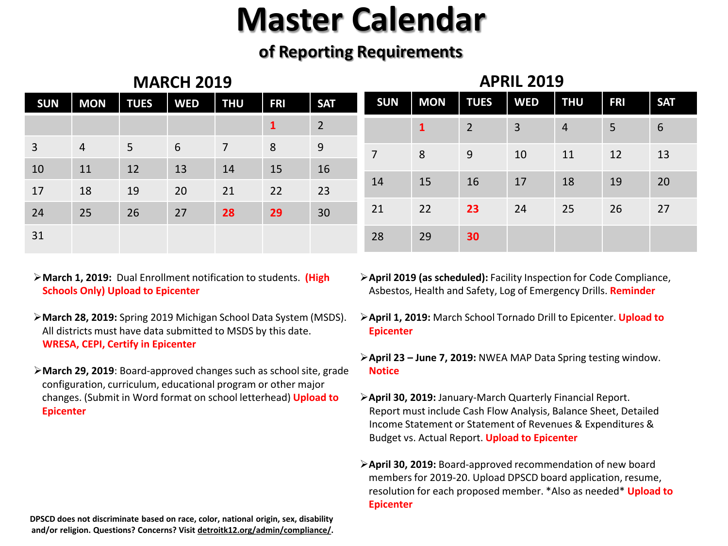## **of Reporting Requirements**

| <b>MARCH 2019</b> |            |             |            |                |             |                |                | <b>APRIL 2019</b> |                |                |                |            |            |  |
|-------------------|------------|-------------|------------|----------------|-------------|----------------|----------------|-------------------|----------------|----------------|----------------|------------|------------|--|
| <b>SUN</b>        | <b>MON</b> | <b>TUES</b> | <b>WED</b> | <b>THU</b>     | <b>FRI</b>  | <b>SAT</b>     | <b>SUN</b>     | <b>MON</b>        | <b>TUES</b>    | <b>WED</b>     | <b>THU</b>     | <b>FRI</b> | <b>SAT</b> |  |
|                   |            |             |            |                | $\mathbf 1$ | $\overline{2}$ |                | $\mathbf{1}$      | $\overline{2}$ | $\overline{3}$ | $\overline{4}$ | 5          | 6          |  |
| 3                 | 4          | $5^{\circ}$ | 6          | $\overline{7}$ | 8           | 9              | $\overline{7}$ | 8                 | 9              | 10             | 11             | 12         | 13         |  |
| 10                | 11         | 12          | 13         | 14             | 15          | 16             |                |                   |                |                |                |            |            |  |
| 17                | 18         | 19          | 20         | 21             | 22          | 23             | 14             | 15                | 16             | 17             | 18             | 19         | 20         |  |
| 24                | 25         | 26          | 27         | 28             | 29          | 30             | 21             | 22                | 23             | 24             | 25             | 26         | 27         |  |
| 31                |            |             |            |                |             |                | 28             | 29                | 30             |                |                |            |            |  |

- **March 1, 2019:** Dual Enrollment notification to students. **(High Schools Only) Upload to Epicenter**
- **March 28, 2019:** Spring 2019 Michigan School Data System (MSDS). All districts must have data submitted to MSDS by this date. **WRESA, CEPI, Certify in Epicenter**
- **March 29, 2019**: Board-approved changes such as school site, grade configuration, curriculum, educational program or other major changes. (Submit in Word format on school letterhead) **Upload to Epicenter**
- **April 2019 (as scheduled):** Facility Inspection for Code Compliance, Asbestos, Health and Safety, Log of Emergency Drills. **Reminder**
- **April 1, 2019:** March School Tornado Drill to Epicenter. **Upload to Epicenter**
- **April 23 – June 7, 2019:** NWEA MAP Data Spring testing window. **Notice**
- **April 30, 2019:** January-March Quarterly Financial Report. Report must include Cash Flow Analysis, Balance Sheet, Detailed Income Statement or Statement of Revenues & Expenditures & Budget vs. Actual Report. **Upload to Epicenter**
- **April 30, 2019:** Board-approved recommendation of new board members for 2019-20. Upload DPSCD board application, resume, resolution for each proposed member. \*Also as needed\* **Upload to Epicenter**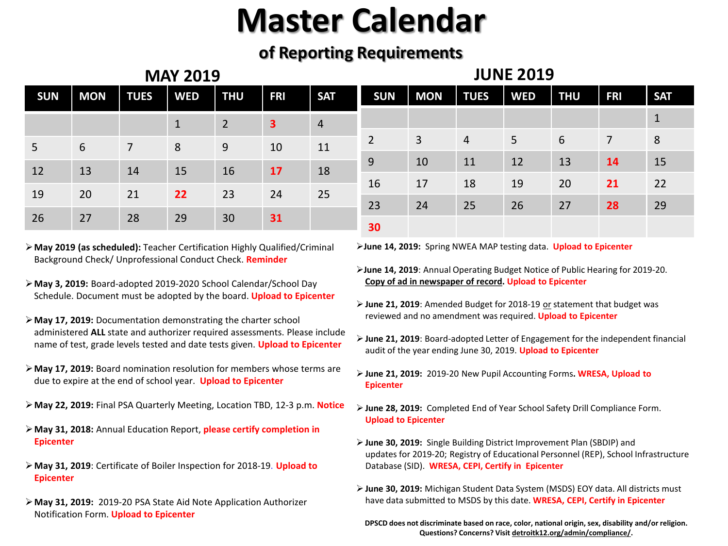## **of Reporting Requirements**

| <b>MAY 2019</b> |            |             |            |                |            |                |                | <b>JUNE 2019</b> |                |            |                |            |              |  |
|-----------------|------------|-------------|------------|----------------|------------|----------------|----------------|------------------|----------------|------------|----------------|------------|--------------|--|
| <b>SUN</b>      | <b>MON</b> | <b>TUES</b> | <b>WED</b> | <b>THU</b>     | <b>FRI</b> | <b>SAT</b>     | <b>SUN</b>     | <b>MON</b>       | <b>TUES</b>    | <b>WED</b> | <b>THU</b>     | <b>FRI</b> | <b>SAT</b>   |  |
|                 |            |             | T          | $\overline{2}$ | 3          | $\overline{4}$ |                |                  |                |            |                |            | $\mathbf{1}$ |  |
| 5               | 6          | 7           | 8          | 9              | 10         | 11             | $\overline{2}$ | 3                | $\overline{4}$ | 5          | $6\phantom{1}$ | 7          | 8            |  |
| 12              | 13         | 14          | 15         | 16             | 17         | 18             | 9              | 10               | 11             | 12         | 13             | 14         | 15           |  |
|                 |            |             |            |                |            |                | 16             | 17               | 18             | 19         | 20             | 21         | 22           |  |
| 19              | 20         | 21          | 22         | 23             | 24         | 25             | 23             | 24               | 25             | 26         | 27             | 28         | 29           |  |
| 26              | 27         | 28          | 29         | 30             | 31         |                | 30             |                  |                |            |                |            |              |  |

- **May 2019 (as scheduled):** Teacher Certification Highly Qualified/Criminal Background Check/ Unprofessional Conduct Check. **Reminder**
- **May 3, 2019:** Board-adopted 2019-2020 School Calendar/School Day Schedule. Document must be adopted by the board. **Upload to Epicenter**
- **May 17, 2019:** Documentation demonstrating the charter school administered **ALL** state and authorizer required assessments. Please include name of test, grade levels tested and date tests given. **Upload to Epicenter**
- **May 17, 2019:** Board nomination resolution for members whose terms are due to expire at the end of school year. **Upload to Epicenter**
- **May 22, 2019:** Final PSA Quarterly Meeting, Location TBD, 12-3 p.m. **Notice**
- **May 31, 2018:** Annual Education Report, **please certify completion in Epicenter**
- **May 31, 2019**: Certificate of Boiler Inspection for 2018-19. **Upload to Epicenter**
- **May 31, 2019:** 2019-20 PSA State Aid Note Application Authorizer Notification Form. **Upload to Epicenter**

**June 14, 2019:** Spring NWEA MAP testing data. **Upload to Epicenter**

- **June 14, 2019**: Annual Operating Budget Notice of Public Hearing for 2019-20. **Copy of ad in newspaper of record. Upload to Epicenter**
- **June 21, 2019**: Amended Budget for 2018-19 or statement that budget was reviewed and no amendment was required. **Upload to Epicenter**
- **June 21, 2019**: Board-adopted Letter of Engagement for the independent financial audit of the year ending June 30, 2019. **Upload to Epicenter**
- **June 21, 2019:** 2019-20 New Pupil Accounting Forms**. WRESA, Upload to Epicenter**
- **June 28, 2019:** Completed End of Year School Safety Drill Compliance Form. **Upload to Epicenter**
- **June 30, 2019:** Single Building District Improvement Plan (SBDIP) and updates for 2019-20; Registry of Educational Personnel (REP), School Infrastructure Database (SID). **WRESA, CEPI, Certify in Epicenter**
- **June 30, 2019:** Michigan Student Data System (MSDS) EOY data. All districts must have data submitted to MSDS by this date. **WRESA, CEPI, Certify in Epicenter**
- **DPSCD does not discriminate based on race, color, national origin, sex, disability and/or religion. Questions? Concerns? Visit detroitk12.org/admin/compliance/.**